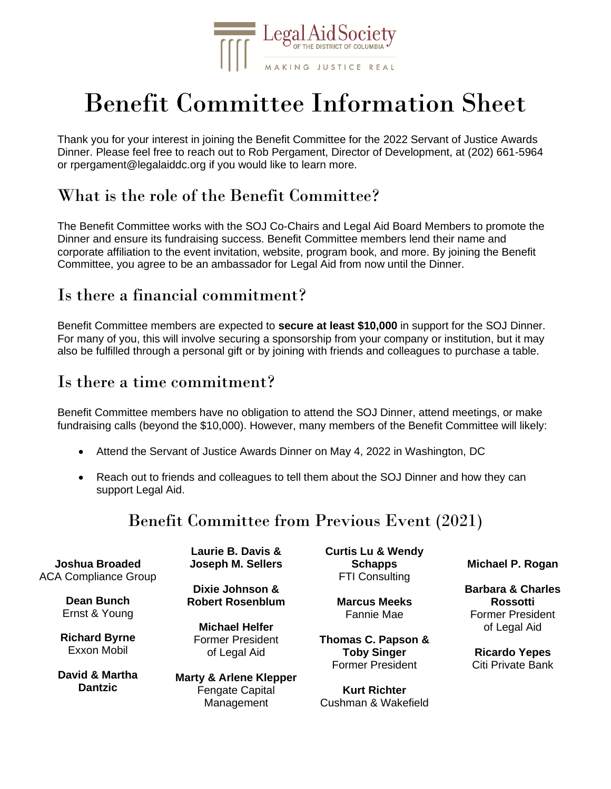

# Benefit Committee Information Sheet

Thank you for your interest in joining the Benefit Committee for the 2022 Servant of Justice Awards Dinner. Please feel free to reach out to Rob Pergament, Director of Development, at (202) 661-5964 or rpergament@legalaiddc.org if you would like to learn more.

## What is the role of the Benefit Committee?

The Benefit Committee works with the SOJ Co-Chairs and Legal Aid Board Members to promote the Dinner and ensure its fundraising success. Benefit Committee members lend their name and corporate affiliation to the event invitation, website, program book, and more. By joining the Benefit Committee, you agree to be an ambassador for Legal Aid from now until the Dinner.

## Is there a financial commitment?

Benefit Committee members are expected to **secure at least \$10,000** in support for the SOJ Dinner. For many of you, this will involve securing a sponsorship from your company or institution, but it may also be fulfilled through a personal gift or by joining with friends and colleagues to purchase a table.

#### Is there a time commitment?

Benefit Committee members have no obligation to attend the SOJ Dinner, attend meetings, or make fundraising calls (beyond the \$10,000). However, many members of the Benefit Committee will likely:

- Attend the Servant of Justice Awards Dinner on May 4, 2022 in Washington, DC
- Reach out to friends and colleagues to tell them about the SOJ Dinner and how they can support Legal Aid.

## Benefit Committee from Previous Event (2021)

| Joshua Broaded                             | Laurie B. Davis &                                                         |
|--------------------------------------------|---------------------------------------------------------------------------|
| <b>ACA Compliance Group</b>                | Joseph M. Sellers                                                         |
| Dean Bunch                                 | Dixie Johnson &                                                           |
| Ernst & Young                              | <b>Robert Rosenblum</b>                                                   |
| <b>Richard Byrne</b><br><b>Exxon Mobil</b> | <b>Michael Helfer</b><br>Former President<br>of Legal Aid                 |
| David & Martha<br><b>Dantzic</b>           | <b>Marty &amp; Arlene Klepper</b><br><b>Fengate Capital</b><br>Management |

**Curtis Lu & Wendy Schapps** FTI Consulting

> **Marcus Meeks** Fannie Mae

**Thomas C. Papson & Toby Singer** Former President

**Kurt Richter** Cushman & Wakefield **Michael P. Rogan**

**Barbara & Charles Rossotti** Former President of Legal Aid

**Ricardo Yepes** Citi Private Bank